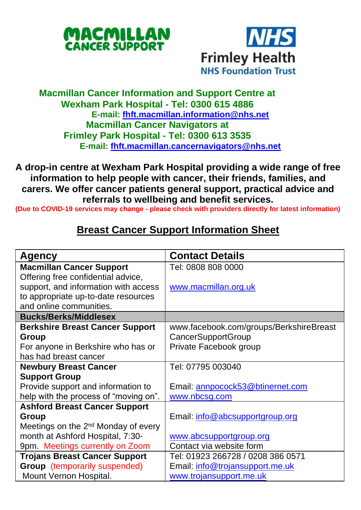



## **Macmillan Cancer Information and Support Centre at Wexham Park Hospital - Tel: 0300 615 4886 E-mail: [fhft.macmillan.information@nhs.net](mailto:fhft.macmillan.information@nhs.net) Macmillan Cancer Navigators at Frimley Park Hospital - Tel: 0300 613 3535 E-mail: [fhft.macmillan.cancernavigators@nhs.net](mailto:fhft.macmillan.cancernavigators@nhs.net)**

**A drop-in centre at Wexham Park Hospital providing a wide range of free information to help people with cancer, their friends, families, and carers. We offer cancer patients general support, practical advice and referrals to wellbeing and benefit services.**

**(Due to COVID-19 services may change - please check with providers directly for latest information)**

## **Breast Cancer Support Information Sheet**

| <b>Agency</b>                                   | <b>Contact Details</b>                  |  |
|-------------------------------------------------|-----------------------------------------|--|
| <b>Macmillan Cancer Support</b>                 | Tel: 0808 808 0000                      |  |
| Offering free confidential advice,              |                                         |  |
| support, and information with access            | www.macmillan.org.uk                    |  |
| to appropriate up-to-date resources             |                                         |  |
| and online communities.                         |                                         |  |
| <b>Bucks/Berks/Middlesex</b>                    |                                         |  |
| <b>Berkshire Breast Cancer Support</b>          | www.facebook.com/groups/BerkshireBreast |  |
| Group                                           | <b>CancerSupportGroup</b>               |  |
| For anyone in Berkshire who has or              | Private Facebook group                  |  |
| has had breast cancer                           |                                         |  |
| <b>Newbury Breast Cancer</b>                    | Tel: 07795 003040                       |  |
| <b>Support Group</b>                            |                                         |  |
| Provide support and information to              | Email: annpocock53@btinernet.com        |  |
| help with the process of "moving on".           | www.nbcsg.com                           |  |
| <b>Ashford Breast Cancer Support</b>            |                                         |  |
| Group                                           | Email: info@abcsupportgroup.org         |  |
| Meetings on the 2 <sup>nd</sup> Monday of every |                                         |  |
| month at Ashford Hospital, 7:30-                | www.abcsupportgroup.org                 |  |
| 9pm. Meetings currently on Zoom                 | Contact via website form                |  |
| <b>Trojans Breast Cancer Support</b>            | Tel: 01923 266728 / 0208 386 0571       |  |
| <b>Group</b> (temporarily suspended)            | Email: info@trojansupport.me.uk         |  |
| Mount Vernon Hospital.                          | www.trojansupport.me.uk                 |  |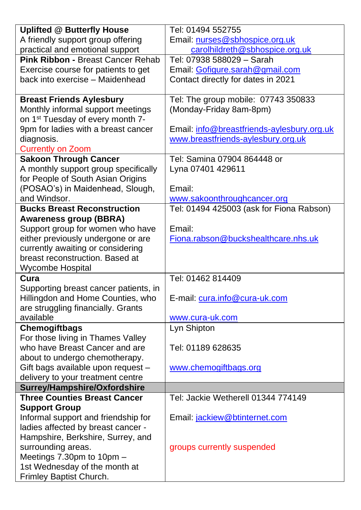| <b>Uplifted @ Butterfly House</b>            | Tel: 01494 552755                          |  |  |
|----------------------------------------------|--------------------------------------------|--|--|
| A friendly support group offering            | Email: nurses@sbhospice.org.uk             |  |  |
| practical and emotional support              | carolhildreth@sbhospice.org.uk             |  |  |
| Pink Ribbon - Breast Cancer Rehab            | Tel: 07938 588029 - Sarah                  |  |  |
| Exercise course for patients to get          | Email: Gofigure.sarah@gmail.com            |  |  |
| back into exercise - Maidenhead              | Contact directly for dates in 2021         |  |  |
|                                              |                                            |  |  |
| <b>Breast Friends Aylesbury</b>              | Tel: The group mobile: 07743 350833        |  |  |
| Monthly informal support meetings            | (Monday-Friday 8am-8pm)                    |  |  |
| on 1 <sup>st</sup> Tuesday of every month 7- |                                            |  |  |
| 9pm for ladies with a breast cancer          | Email: info@breastfriends-aylesbury.org.uk |  |  |
| diagnosis.                                   | www.breastfriends-aylesbury.org.uk         |  |  |
| <b>Currently on Zoom</b>                     |                                            |  |  |
| <b>Sakoon Through Cancer</b>                 | Tel: Samina 07904 864448 or                |  |  |
| A monthly support group specifically         | Lyna 07401 429611                          |  |  |
| for People of South Asian Origins            |                                            |  |  |
| (POSAO's) in Maidenhead, Slough,             | Email:                                     |  |  |
| and Windsor.                                 | www.sakoonthroughcancer.org                |  |  |
| <b>Bucks Breast Reconstruction</b>           | Tel: 01494 425003 (ask for Fiona Rabson)   |  |  |
| <b>Awareness group (BBRA)</b>                |                                            |  |  |
| Support group for women who have             | Email:                                     |  |  |
| either previously undergone or are           | Fiona.rabson@buckshealthcare.nhs.uk        |  |  |
| currently awaiting or considering            |                                            |  |  |
| breast reconstruction. Based at              |                                            |  |  |
| Wycombe Hospital                             |                                            |  |  |
| Cura                                         | Tel: 01462 814409                          |  |  |
| Supporting breast cancer patients, in        |                                            |  |  |
| Hillingdon and Home Counties, who            | E-mail: cura.info@cura-uk.com              |  |  |
| are struggling financially. Grants           |                                            |  |  |
| available                                    | www.cura-uk.com                            |  |  |
| <b>Chemogiftbags</b>                         | Lyn Shipton                                |  |  |
| For those living in Thames Valley            |                                            |  |  |
| who have Breast Cancer and are               | Tel: 01189 628635                          |  |  |
| about to undergo chemotherapy.               |                                            |  |  |
| Gift bags available upon request -           | www.chemogiftbags.org                      |  |  |
| delivery to your treatment centre            |                                            |  |  |
| Surrey/Hampshire/Oxfordshire                 |                                            |  |  |
| <b>Three Counties Breast Cancer</b>          | Tel: Jackie Wetherell 01344 774149         |  |  |
| <b>Support Group</b>                         |                                            |  |  |
| Informal support and friendship for          | Email: jackiew@btinternet.com              |  |  |
| ladies affected by breast cancer -           |                                            |  |  |
| Hampshire, Berkshire, Surrey, and            |                                            |  |  |
| surrounding areas.                           | groups currently suspended                 |  |  |
| Meetings 7.30pm to 10pm -                    |                                            |  |  |
| 1st Wednesday of the month at                |                                            |  |  |
| Frimley Baptist Church.                      |                                            |  |  |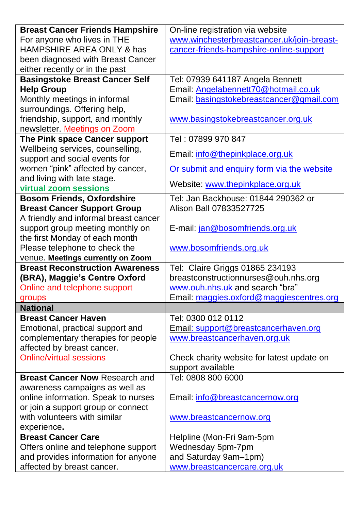| <b>Breast Cancer Friends Hampshire</b>               | On-line registration via website           |  |  |
|------------------------------------------------------|--------------------------------------------|--|--|
| For anyone who lives in THE                          | www.winchesterbreastcancer.uk/join-breast- |  |  |
| HAMPSHIRE AREA ONLY & has                            | cancer-friends-hampshire-online-support    |  |  |
| been diagnosed with Breast Cancer                    |                                            |  |  |
| either recently or in the past                       |                                            |  |  |
| <b>Basingstoke Breast Cancer Self</b>                | Tel: 07939 641187 Angela Bennett           |  |  |
| <b>Help Group</b>                                    | Email: Angelabennett70@hotmail.co.uk       |  |  |
| Monthly meetings in informal                         | Email: basingstokebreastcancer@gmail.com   |  |  |
| surroundings. Offering help,                         |                                            |  |  |
| friendship, support, and monthly                     | www.basingstokebreastcancer.org.uk         |  |  |
| newsletter. Meetings on Zoom                         |                                            |  |  |
| The Pink space Cancer support                        | Tel : 07899 970 847                        |  |  |
| Wellbeing services, counselling,                     | Email: info@thepinkplace.org.uk            |  |  |
| support and social events for                        |                                            |  |  |
| women "pink" affected by cancer,                     | Or submit and enquiry form via the website |  |  |
| and living with late stage.<br>virtual zoom sessions | Website: www.thepinkplace.org.uk           |  |  |
| <b>Bosom Friends, Oxfordshire</b>                    | Tel: Jan Backhouse: 01844 290362 or        |  |  |
| <b>Breast Cancer Support Group</b>                   | Alison Ball 07833527725                    |  |  |
| A friendly and informal breast cancer                |                                            |  |  |
| support group meeting monthly on                     | E-mail: jan@bosomfriends.org.uk            |  |  |
| the first Monday of each month                       |                                            |  |  |
| Please telephone to check the                        | www.bosomfriends.org.uk                    |  |  |
| venue. Meetings currently on Zoom                    |                                            |  |  |
| <b>Breast Reconstruction Awareness</b>               | Tel: Claire Griggs 01865 234193            |  |  |
| (BRA), Maggie's Centre Oxford                        | breastconstructionnurses@ouh.nhs.org       |  |  |
| Online and telephone support                         | www.ouh.nhs.uk and search "bra"            |  |  |
| groups                                               | Email: maggies.oxford@maggiescentres.org   |  |  |
| <b>National</b>                                      |                                            |  |  |
| <b>Breast Cancer Haven</b>                           | Tel: 0300 012 0112                         |  |  |
| Emotional, practical support and                     | Email: support@breastcancerhaven.org       |  |  |
| complementary therapies for people                   | www.breastcancerhaven.org.uk               |  |  |
| affected by breast cancer.                           |                                            |  |  |
| Online/virtual sessions                              | Check charity website for latest update on |  |  |
|                                                      | support available                          |  |  |
| <b>Breast Cancer Now Research and</b>                | Tel: 0808 800 6000                         |  |  |
| awareness campaigns as well as                       |                                            |  |  |
| online information. Speak to nurses                  | Email: info@breastcancernow.org            |  |  |
| or join a support group or connect                   |                                            |  |  |
| with volunteers with similar                         | www.breastcancernow.org                    |  |  |
| experience.                                          |                                            |  |  |
| <b>Breast Cancer Care</b>                            | Helpline (Mon-Fri 9am-5pm                  |  |  |
| Offers online and telephone support                  | Wednesday 5pm-7pm                          |  |  |
| and provides information for anyone                  | and Saturday 9am-1pm)                      |  |  |
| affected by breast cancer.                           | www.breastcancercare.org.uk                |  |  |